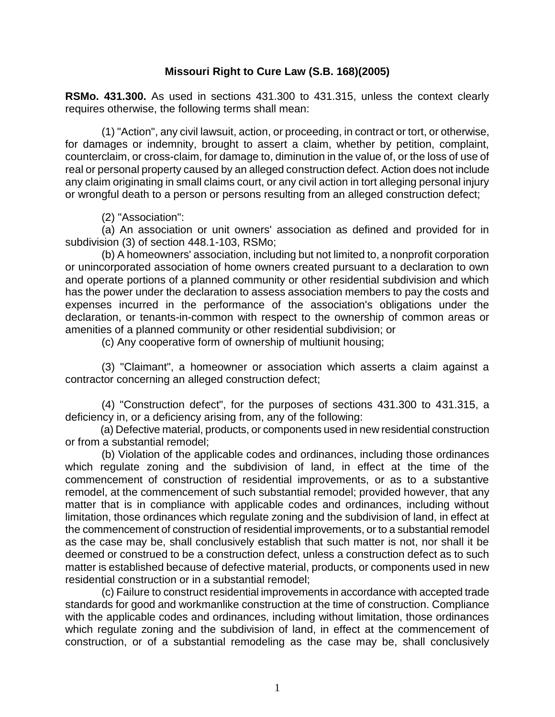## **Missouri Right to Cure Law (S.B. 168)(2005)**

**RSMo. 431.300.** As used in sections 431.300 to 431.315, unless the context clearly requires otherwise, the following terms shall mean:

 (1) "Action", any civil lawsuit, action, or proceeding, in contract or tort, or otherwise, for damages or indemnity, brought to assert a claim, whether by petition, complaint, counterclaim, or cross-claim, for damage to, diminution in the value of, or the loss of use of real or personal property caused by an alleged construction defect. Action does not include any claim originating in small claims court, or any civil action in tort alleging personal injury or wrongful death to a person or persons resulting from an alleged construction defect;

(2) "Association":

 (a) An association or unit owners' association as defined and provided for in subdivision (3) of section 448.1-103, RSMo;

 (b) A homeowners' association, including but not limited to, a nonprofit corporation or unincorporated association of home owners created pursuant to a declaration to own and operate portions of a planned community or other residential subdivision and which has the power under the declaration to assess association members to pay the costs and expenses incurred in the performance of the association's obligations under the declaration, or tenants-in-common with respect to the ownership of common areas or amenities of a planned community or other residential subdivision; or

(c) Any cooperative form of ownership of multiunit housing;

 (3) "Claimant", a homeowner or association which asserts a claim against a contractor concerning an alleged construction defect;

 (4) "Construction defect", for the purposes of sections 431.300 to 431.315, a deficiency in, or a deficiency arising from, any of the following:

 (a) Defective material, products, or components used in new residential construction or from a substantial remodel;

 (b) Violation of the applicable codes and ordinances, including those ordinances which regulate zoning and the subdivision of land, in effect at the time of the commencement of construction of residential improvements, or as to a substantive remodel, at the commencement of such substantial remodel; provided however, that any matter that is in compliance with applicable codes and ordinances, including without limitation, those ordinances which regulate zoning and the subdivision of land, in effect at the commencement of construction of residential improvements, or to a substantial remodel as the case may be, shall conclusively establish that such matter is not, nor shall it be deemed or construed to be a construction defect, unless a construction defect as to such matter is established because of defective material, products, or components used in new residential construction or in a substantial remodel;

 (c) Failure to construct residential improvements in accordance with accepted trade standards for good and workmanlike construction at the time of construction. Compliance with the applicable codes and ordinances, including without limitation, those ordinances which regulate zoning and the subdivision of land, in effect at the commencement of construction, or of a substantial remodeling as the case may be, shall conclusively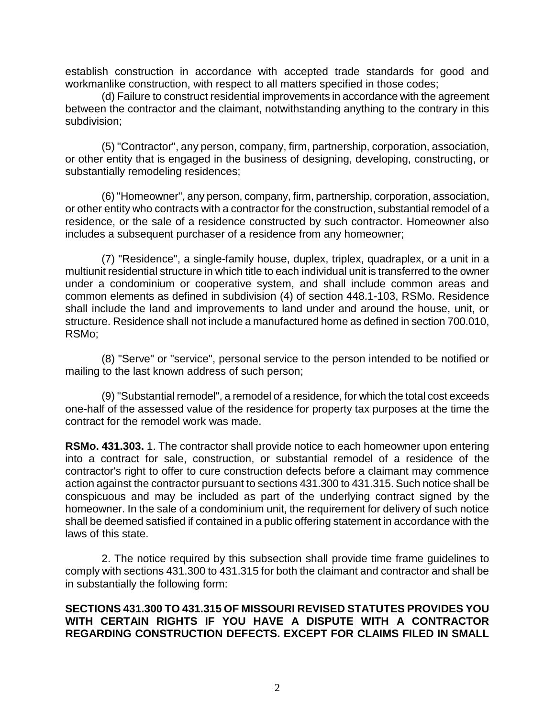establish construction in accordance with accepted trade standards for good and workmanlike construction, with respect to all matters specified in those codes;

 (d) Failure to construct residential improvements in accordance with the agreement between the contractor and the claimant, notwithstanding anything to the contrary in this subdivision;

 (5) "Contractor", any person, company, firm, partnership, corporation, association, or other entity that is engaged in the business of designing, developing, constructing, or substantially remodeling residences;

 (6) "Homeowner", any person, company, firm, partnership, corporation, association, or other entity who contracts with a contractor for the construction, substantial remodel of a residence, or the sale of a residence constructed by such contractor. Homeowner also includes a subsequent purchaser of a residence from any homeowner;

 (7) "Residence", a single-family house, duplex, triplex, quadraplex, or a unit in a multiunit residential structure in which title to each individual unit is transferred to the owner under a condominium or cooperative system, and shall include common areas and common elements as defined in subdivision (4) of section 448.1-103, RSMo. Residence shall include the land and improvements to land under and around the house, unit, or structure. Residence shall not include a manufactured home as defined in section 700.010, RSMo;

 (8) "Serve" or "service", personal service to the person intended to be notified or mailing to the last known address of such person;

 (9) "Substantial remodel", a remodel of a residence, for which the total cost exceeds one-half of the assessed value of the residence for property tax purposes at the time the contract for the remodel work was made.

**RSMo. 431.303.** 1. The contractor shall provide notice to each homeowner upon entering into a contract for sale, construction, or substantial remodel of a residence of the contractor's right to offer to cure construction defects before a claimant may commence action against the contractor pursuant to sections 431.300 to 431.315. Such notice shall be conspicuous and may be included as part of the underlying contract signed by the homeowner. In the sale of a condominium unit, the requirement for delivery of such notice shall be deemed satisfied if contained in a public offering statement in accordance with the laws of this state.

 2. The notice required by this subsection shall provide time frame guidelines to comply with sections 431.300 to 431.315 for both the claimant and contractor and shall be in substantially the following form:

## **SECTIONS 431.300 TO 431.315 OF MISSOURI REVISED STATUTES PROVIDES YOU WITH CERTAIN RIGHTS IF YOU HAVE A DISPUTE WITH A CONTRACTOR REGARDING CONSTRUCTION DEFECTS. EXCEPT FOR CLAIMS FILED IN SMALL**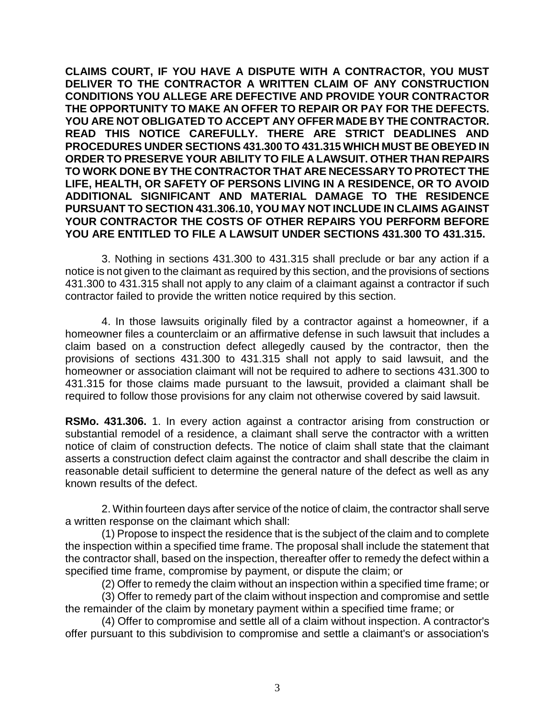**CLAIMS COURT, IF YOU HAVE A DISPUTE WITH A CONTRACTOR, YOU MUST DELIVER TO THE CONTRACTOR A WRITTEN CLAIM OF ANY CONSTRUCTION CONDITIONS YOU ALLEGE ARE DEFECTIVE AND PROVIDE YOUR CONTRACTOR THE OPPORTUNITY TO MAKE AN OFFER TO REPAIR OR PAY FOR THE DEFECTS. YOU ARE NOT OBLIGATED TO ACCEPT ANY OFFER MADE BY THE CONTRACTOR. READ THIS NOTICE CAREFULLY. THERE ARE STRICT DEADLINES AND PROCEDURES UNDER SECTIONS 431.300 TO 431.315 WHICH MUST BE OBEYED IN ORDER TO PRESERVE YOUR ABILITY TO FILE A LAWSUIT. OTHER THAN REPAIRS TO WORK DONE BY THE CONTRACTOR THAT ARE NECESSARY TO PROTECT THE LIFE, HEALTH, OR SAFETY OF PERSONS LIVING IN A RESIDENCE, OR TO AVOID ADDITIONAL SIGNIFICANT AND MATERIAL DAMAGE TO THE RESIDENCE PURSUANT TO SECTION 431.306.10, YOU MAY NOT INCLUDE IN CLAIMS AGAINST YOUR CONTRACTOR THE COSTS OF OTHER REPAIRS YOU PERFORM BEFORE YOU ARE ENTITLED TO FILE A LAWSUIT UNDER SECTIONS 431.300 TO 431.315.**

 3. Nothing in sections 431.300 to 431.315 shall preclude or bar any action if a notice is not given to the claimant as required by this section, and the provisions of sections 431.300 to 431.315 shall not apply to any claim of a claimant against a contractor if such contractor failed to provide the written notice required by this section.

 4. In those lawsuits originally filed by a contractor against a homeowner, if a homeowner files a counterclaim or an affirmative defense in such lawsuit that includes a claim based on a construction defect allegedly caused by the contractor, then the provisions of sections 431.300 to 431.315 shall not apply to said lawsuit, and the homeowner or association claimant will not be required to adhere to sections 431.300 to 431.315 for those claims made pursuant to the lawsuit, provided a claimant shall be required to follow those provisions for any claim not otherwise covered by said lawsuit.

**RSMo. 431.306.** 1. In every action against a contractor arising from construction or substantial remodel of a residence, a claimant shall serve the contractor with a written notice of claim of construction defects. The notice of claim shall state that the claimant asserts a construction defect claim against the contractor and shall describe the claim in reasonable detail sufficient to determine the general nature of the defect as well as any known results of the defect.

 2. Within fourteen days after service of the notice of claim, the contractor shall serve a written response on the claimant which shall:

 (1) Propose to inspect the residence that is the subject of the claim and to complete the inspection within a specified time frame. The proposal shall include the statement that the contractor shall, based on the inspection, thereafter offer to remedy the defect within a specified time frame, compromise by payment, or dispute the claim; or

(2) Offer to remedy the claim without an inspection within a specified time frame; or

 (3) Offer to remedy part of the claim without inspection and compromise and settle the remainder of the claim by monetary payment within a specified time frame; or

 (4) Offer to compromise and settle all of a claim without inspection. A contractor's offer pursuant to this subdivision to compromise and settle a claimant's or association's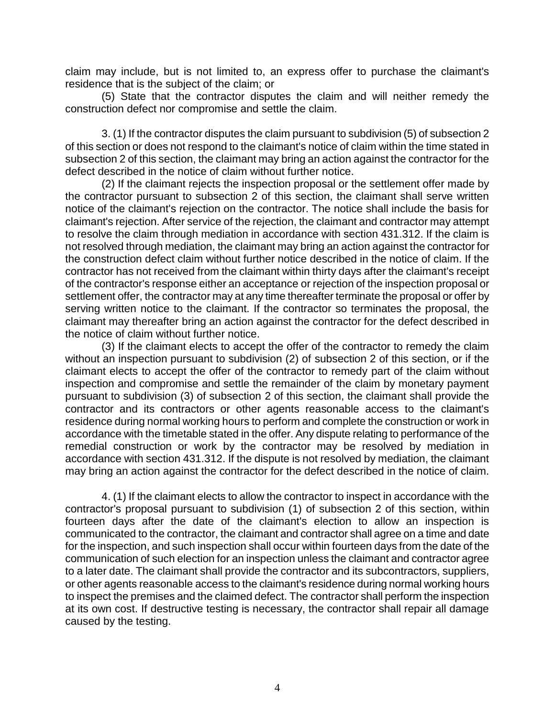claim may include, but is not limited to, an express offer to purchase the claimant's residence that is the subject of the claim; or

 (5) State that the contractor disputes the claim and will neither remedy the construction defect nor compromise and settle the claim.

 3. (1) If the contractor disputes the claim pursuant to subdivision (5) of subsection 2 of this section or does not respond to the claimant's notice of claim within the time stated in subsection 2 of this section, the claimant may bring an action against the contractor for the defect described in the notice of claim without further notice.

 (2) If the claimant rejects the inspection proposal or the settlement offer made by the contractor pursuant to subsection 2 of this section, the claimant shall serve written notice of the claimant's rejection on the contractor. The notice shall include the basis for claimant's rejection. After service of the rejection, the claimant and contractor may attempt to resolve the claim through mediation in accordance with section 431.312. If the claim is not resolved through mediation, the claimant may bring an action against the contractor for the construction defect claim without further notice described in the notice of claim. If the contractor has not received from the claimant within thirty days after the claimant's receipt of the contractor's response either an acceptance or rejection of the inspection proposal or settlement offer, the contractor may at any time thereafter terminate the proposal or offer by serving written notice to the claimant. If the contractor so terminates the proposal, the claimant may thereafter bring an action against the contractor for the defect described in the notice of claim without further notice.

 (3) If the claimant elects to accept the offer of the contractor to remedy the claim without an inspection pursuant to subdivision (2) of subsection 2 of this section, or if the claimant elects to accept the offer of the contractor to remedy part of the claim without inspection and compromise and settle the remainder of the claim by monetary payment pursuant to subdivision (3) of subsection 2 of this section, the claimant shall provide the contractor and its contractors or other agents reasonable access to the claimant's residence during normal working hours to perform and complete the construction or work in accordance with the timetable stated in the offer. Any dispute relating to performance of the remedial construction or work by the contractor may be resolved by mediation in accordance with section 431.312. If the dispute is not resolved by mediation, the claimant may bring an action against the contractor for the defect described in the notice of claim.

 4. (1) If the claimant elects to allow the contractor to inspect in accordance with the contractor's proposal pursuant to subdivision (1) of subsection 2 of this section, within fourteen days after the date of the claimant's election to allow an inspection is communicated to the contractor, the claimant and contractor shall agree on a time and date for the inspection, and such inspection shall occur within fourteen days from the date of the communication of such election for an inspection unless the claimant and contractor agree to a later date. The claimant shall provide the contractor and its subcontractors, suppliers, or other agents reasonable access to the claimant's residence during normal working hours to inspect the premises and the claimed defect. The contractor shall perform the inspection at its own cost. If destructive testing is necessary, the contractor shall repair all damage caused by the testing.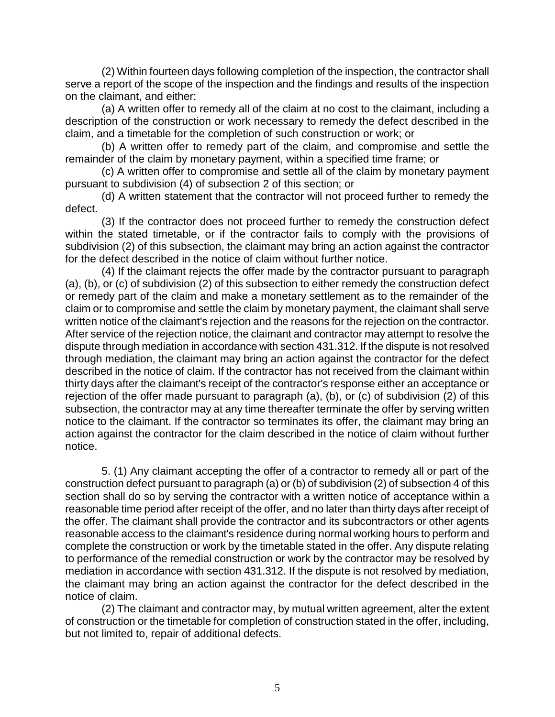(2) Within fourteen days following completion of the inspection, the contractor shall serve a report of the scope of the inspection and the findings and results of the inspection on the claimant, and either:

 (a) A written offer to remedy all of the claim at no cost to the claimant, including a description of the construction or work necessary to remedy the defect described in the claim, and a timetable for the completion of such construction or work; or

 (b) A written offer to remedy part of the claim, and compromise and settle the remainder of the claim by monetary payment, within a specified time frame; or

 (c) A written offer to compromise and settle all of the claim by monetary payment pursuant to subdivision (4) of subsection 2 of this section; or

 (d) A written statement that the contractor will not proceed further to remedy the defect.

 (3) If the contractor does not proceed further to remedy the construction defect within the stated timetable, or if the contractor fails to comply with the provisions of subdivision (2) of this subsection, the claimant may bring an action against the contractor for the defect described in the notice of claim without further notice.

 (4) If the claimant rejects the offer made by the contractor pursuant to paragraph (a), (b), or (c) of subdivision (2) of this subsection to either remedy the construction defect or remedy part of the claim and make a monetary settlement as to the remainder of the claim or to compromise and settle the claim by monetary payment, the claimant shall serve written notice of the claimant's rejection and the reasons for the rejection on the contractor. After service of the rejection notice, the claimant and contractor may attempt to resolve the dispute through mediation in accordance with section 431.312. If the dispute is not resolved through mediation, the claimant may bring an action against the contractor for the defect described in the notice of claim. If the contractor has not received from the claimant within thirty days after the claimant's receipt of the contractor's response either an acceptance or rejection of the offer made pursuant to paragraph (a), (b), or (c) of subdivision (2) of this subsection, the contractor may at any time thereafter terminate the offer by serving written notice to the claimant. If the contractor so terminates its offer, the claimant may bring an action against the contractor for the claim described in the notice of claim without further notice.

 5. (1) Any claimant accepting the offer of a contractor to remedy all or part of the construction defect pursuant to paragraph (a) or (b) of subdivision (2) of subsection 4 of this section shall do so by serving the contractor with a written notice of acceptance within a reasonable time period after receipt of the offer, and no later than thirty days after receipt of the offer. The claimant shall provide the contractor and its subcontractors or other agents reasonable access to the claimant's residence during normal working hours to perform and complete the construction or work by the timetable stated in the offer. Any dispute relating to performance of the remedial construction or work by the contractor may be resolved by mediation in accordance with section 431.312. If the dispute is not resolved by mediation, the claimant may bring an action against the contractor for the defect described in the notice of claim.

 (2) The claimant and contractor may, by mutual written agreement, alter the extent of construction or the timetable for completion of construction stated in the offer, including, but not limited to, repair of additional defects.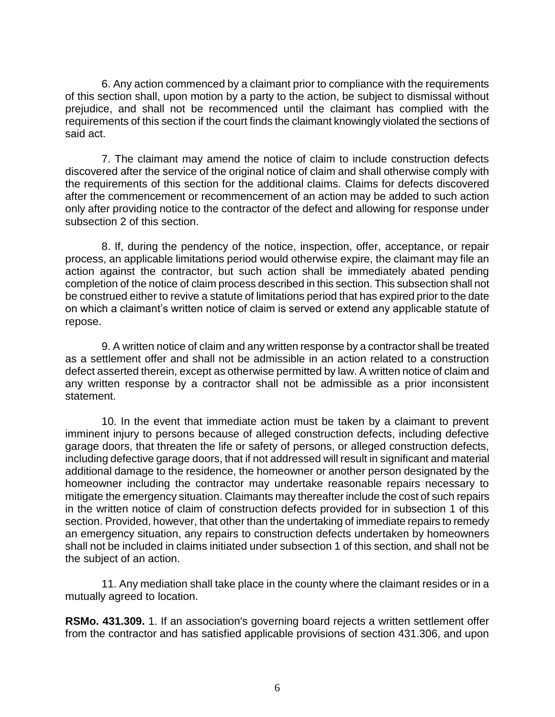6. Any action commenced by a claimant prior to compliance with the requirements of this section shall, upon motion by a party to the action, be subject to dismissal without prejudice, and shall not be recommenced until the claimant has complied with the requirements of this section if the court finds the claimant knowingly violated the sections of said act.

 7. The claimant may amend the notice of claim to include construction defects discovered after the service of the original notice of claim and shall otherwise comply with the requirements of this section for the additional claims. Claims for defects discovered after the commencement or recommencement of an action may be added to such action only after providing notice to the contractor of the defect and allowing for response under subsection 2 of this section.

 8. If, during the pendency of the notice, inspection, offer, acceptance, or repair process, an applicable limitations period would otherwise expire, the claimant may file an action against the contractor, but such action shall be immediately abated pending completion of the notice of claim process described in this section. This subsection shall not be construed either to revive a statute of limitations period that has expired prior to the date on which a claimant's written notice of claim is served or extend any applicable statute of repose.

 9. A written notice of claim and any written response by a contractor shall be treated as a settlement offer and shall not be admissible in an action related to a construction defect asserted therein, except as otherwise permitted by law. A written notice of claim and any written response by a contractor shall not be admissible as a prior inconsistent statement.

 10. In the event that immediate action must be taken by a claimant to prevent imminent injury to persons because of alleged construction defects, including defective garage doors, that threaten the life or safety of persons, or alleged construction defects, including defective garage doors, that if not addressed will result in significant and material additional damage to the residence, the homeowner or another person designated by the homeowner including the contractor may undertake reasonable repairs necessary to mitigate the emergency situation. Claimants may thereafter include the cost of such repairs in the written notice of claim of construction defects provided for in subsection 1 of this section. Provided, however, that other than the undertaking of immediate repairs to remedy an emergency situation, any repairs to construction defects undertaken by homeowners shall not be included in claims initiated under subsection 1 of this section, and shall not be the subject of an action.

 11. Any mediation shall take place in the county where the claimant resides or in a mutually agreed to location.

**RSMo. 431.309.** 1. If an association's governing board rejects a written settlement offer from the contractor and has satisfied applicable provisions of section 431.306, and upon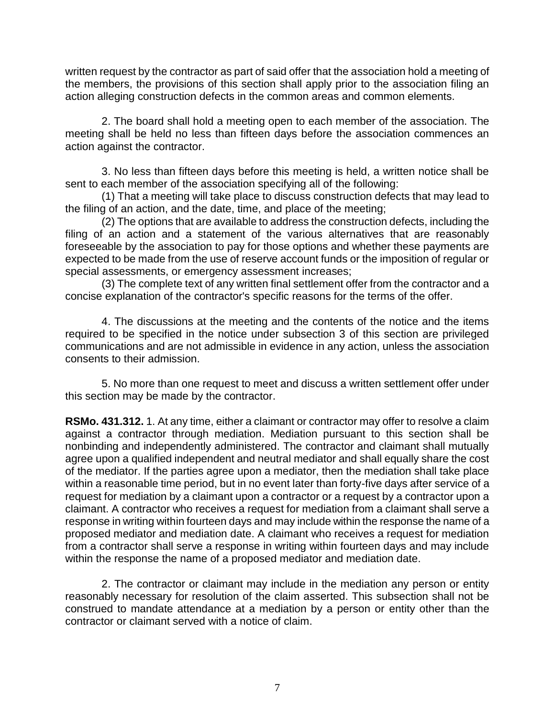written request by the contractor as part of said offer that the association hold a meeting of the members, the provisions of this section shall apply prior to the association filing an action alleging construction defects in the common areas and common elements.

 2. The board shall hold a meeting open to each member of the association. The meeting shall be held no less than fifteen days before the association commences an action against the contractor.

 3. No less than fifteen days before this meeting is held, a written notice shall be sent to each member of the association specifying all of the following:

 (1) That a meeting will take place to discuss construction defects that may lead to the filing of an action, and the date, time, and place of the meeting;

 (2) The options that are available to address the construction defects, including the filing of an action and a statement of the various alternatives that are reasonably foreseeable by the association to pay for those options and whether these payments are expected to be made from the use of reserve account funds or the imposition of regular or special assessments, or emergency assessment increases;

 (3) The complete text of any written final settlement offer from the contractor and a concise explanation of the contractor's specific reasons for the terms of the offer.

 4. The discussions at the meeting and the contents of the notice and the items required to be specified in the notice under subsection 3 of this section are privileged communications and are not admissible in evidence in any action, unless the association consents to their admission.

 5. No more than one request to meet and discuss a written settlement offer under this section may be made by the contractor.

**RSMo. 431.312.** 1. At any time, either a claimant or contractor may offer to resolve a claim against a contractor through mediation. Mediation pursuant to this section shall be nonbinding and independently administered. The contractor and claimant shall mutually agree upon a qualified independent and neutral mediator and shall equally share the cost of the mediator. If the parties agree upon a mediator, then the mediation shall take place within a reasonable time period, but in no event later than forty-five days after service of a request for mediation by a claimant upon a contractor or a request by a contractor upon a claimant. A contractor who receives a request for mediation from a claimant shall serve a response in writing within fourteen days and may include within the response the name of a proposed mediator and mediation date. A claimant who receives a request for mediation from a contractor shall serve a response in writing within fourteen days and may include within the response the name of a proposed mediator and mediation date.

 2. The contractor or claimant may include in the mediation any person or entity reasonably necessary for resolution of the claim asserted. This subsection shall not be construed to mandate attendance at a mediation by a person or entity other than the contractor or claimant served with a notice of claim.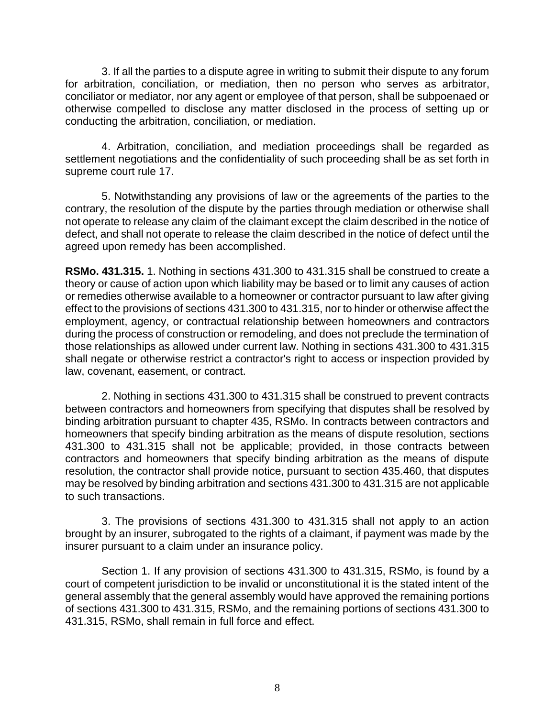3. If all the parties to a dispute agree in writing to submit their dispute to any forum for arbitration, conciliation, or mediation, then no person who serves as arbitrator, conciliator or mediator, nor any agent or employee of that person, shall be subpoenaed or otherwise compelled to disclose any matter disclosed in the process of setting up or conducting the arbitration, conciliation, or mediation.

 4. Arbitration, conciliation, and mediation proceedings shall be regarded as settlement negotiations and the confidentiality of such proceeding shall be as set forth in supreme court rule 17.

 5. Notwithstanding any provisions of law or the agreements of the parties to the contrary, the resolution of the dispute by the parties through mediation or otherwise shall not operate to release any claim of the claimant except the claim described in the notice of defect, and shall not operate to release the claim described in the notice of defect until the agreed upon remedy has been accomplished.

**RSMo. 431.315.** 1. Nothing in sections 431.300 to 431.315 shall be construed to create a theory or cause of action upon which liability may be based or to limit any causes of action or remedies otherwise available to a homeowner or contractor pursuant to law after giving effect to the provisions of sections 431.300 to 431.315, nor to hinder or otherwise affect the employment, agency, or contractual relationship between homeowners and contractors during the process of construction or remodeling, and does not preclude the termination of those relationships as allowed under current law. Nothing in sections 431.300 to 431.315 shall negate or otherwise restrict a contractor's right to access or inspection provided by law, covenant, easement, or contract.

 2. Nothing in sections 431.300 to 431.315 shall be construed to prevent contracts between contractors and homeowners from specifying that disputes shall be resolved by binding arbitration pursuant to chapter 435, RSMo. In contracts between contractors and homeowners that specify binding arbitration as the means of dispute resolution, sections 431.300 to 431.315 shall not be applicable; provided, in those contracts between contractors and homeowners that specify binding arbitration as the means of dispute resolution, the contractor shall provide notice, pursuant to section 435.460, that disputes may be resolved by binding arbitration and sections 431.300 to 431.315 are not applicable to such transactions.

 3. The provisions of sections 431.300 to 431.315 shall not apply to an action brought by an insurer, subrogated to the rights of a claimant, if payment was made by the insurer pursuant to a claim under an insurance policy.

 Section 1. If any provision of sections 431.300 to 431.315, RSMo, is found by a court of competent jurisdiction to be invalid or unconstitutional it is the stated intent of the general assembly that the general assembly would have approved the remaining portions of sections 431.300 to 431.315, RSMo, and the remaining portions of sections 431.300 to 431.315, RSMo, shall remain in full force and effect.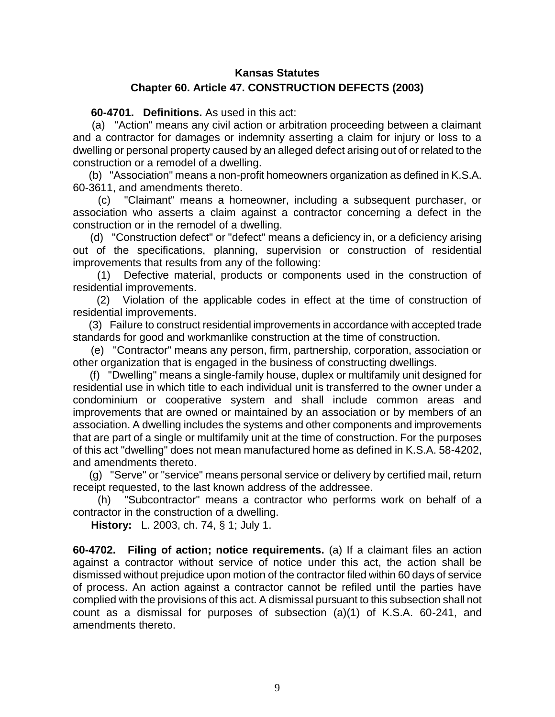## **Kansas Statutes Chapter 60. Article 47. CONSTRUCTION DEFECTS (2003)**

**60-4701. Definitions.** As used in this act:

(a) "Action" means any civil action or arbitration proceeding between a claimant and a contractor for damages or indemnity asserting a claim for injury or loss to a dwelling or personal property caused by an alleged defect arising out of or related to the construction or a remodel of a dwelling.

(b) "Association" means a non-profit homeowners organization as defined in K.S.A. 60-3611, and amendments thereto.

(c) "Claimant" means a homeowner, including a subsequent purchaser, or association who asserts a claim against a contractor concerning a defect in the construction or in the remodel of a dwelling.

(d) "Construction defect" or "defect" means a deficiency in, or a deficiency arising out of the specifications, planning, supervision or construction of residential improvements that results from any of the following:

(1) Defective material, products or components used in the construction of residential improvements.

(2) Violation of the applicable codes in effect at the time of construction of residential improvements.

(3) Failure to construct residential improvements in accordance with accepted trade standards for good and workmanlike construction at the time of construction.

(e) "Contractor" means any person, firm, partnership, corporation, association or other organization that is engaged in the business of constructing dwellings.

(f) "Dwelling" means a single-family house, duplex or multifamily unit designed for residential use in which title to each individual unit is transferred to the owner under a condominium or cooperative system and shall include common areas and improvements that are owned or maintained by an association or by members of an association. A dwelling includes the systems and other components and improvements that are part of a single or multifamily unit at the time of construction. For the purposes of this act "dwelling" does not mean manufactured home as defined in K.S.A. 58-4202, and amendments thereto.

(g) "Serve" or "service" means personal service or delivery by certified mail, return receipt requested, to the last known address of the addressee.

(h) "Subcontractor" means a contractor who performs work on behalf of a contractor in the construction of a dwelling.

**History:** L. 2003, ch. 74, § 1; July 1.

**60-4702. Filing of action; notice requirements.** (a) If a claimant files an action against a contractor without service of notice under this act, the action shall be dismissed without prejudice upon motion of the contractor filed within 60 days of service of process. An action against a contractor cannot be refiled until the parties have complied with the provisions of this act. A dismissal pursuant to this subsection shall not count as a dismissal for purposes of subsection (a)(1) of K.S.A. 60-241, and amendments thereto.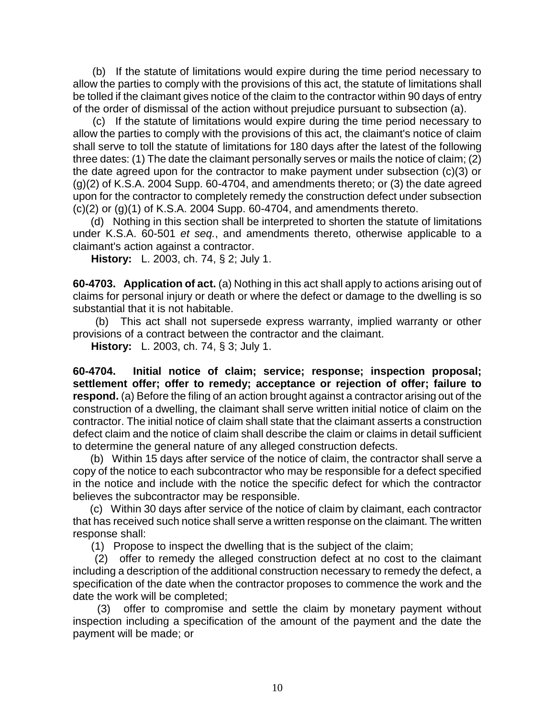(b) If the statute of limitations would expire during the time period necessary to allow the parties to comply with the provisions of this act, the statute of limitations shall be tolled if the claimant gives notice of the claim to the contractor within 90 days of entry of the order of dismissal of the action without prejudice pursuant to subsection (a).

(c) If the statute of limitations would expire during the time period necessary to allow the parties to comply with the provisions of this act, the claimant's notice of claim shall serve to toll the statute of limitations for 180 days after the latest of the following three dates: (1) The date the claimant personally serves or mails the notice of claim; (2) the date agreed upon for the contractor to make payment under subsection (c)(3) or (g)(2) of K.S.A. 2004 Supp. 60-4704, and amendments thereto; or (3) the date agreed upon for the contractor to completely remedy the construction defect under subsection  $(c)(2)$  or  $(g)(1)$  of K.S.A. 2004 Supp. 60-4704, and amendments thereto.

(d) Nothing in this section shall be interpreted to shorten the statute of limitations under K.S.A. 60-501 *et seq.*, and amendments thereto, otherwise applicable to a claimant's action against a contractor.

**History:** L. 2003, ch. 74, § 2; July 1.

**60-4703. Application of act.** (a) Nothing in this act shall apply to actions arising out of claims for personal injury or death or where the defect or damage to the dwelling is so substantial that it is not habitable.

(b) This act shall not supersede express warranty, implied warranty or other provisions of a contract between the contractor and the claimant.

**History:** L. 2003, ch. 74, § 3; July 1.

**60-4704. Initial notice of claim; service; response; inspection proposal; settlement offer; offer to remedy; acceptance or rejection of offer; failure to respond.** (a) Before the filing of an action brought against a contractor arising out of the construction of a dwelling, the claimant shall serve written initial notice of claim on the contractor. The initial notice of claim shall state that the claimant asserts a construction defect claim and the notice of claim shall describe the claim or claims in detail sufficient to determine the general nature of any alleged construction defects.

(b) Within 15 days after service of the notice of claim, the contractor shall serve a copy of the notice to each subcontractor who may be responsible for a defect specified in the notice and include with the notice the specific defect for which the contractor believes the subcontractor may be responsible.

(c) Within 30 days after service of the notice of claim by claimant, each contractor that has received such notice shall serve a written response on the claimant. The written response shall:

(1) Propose to inspect the dwelling that is the subject of the claim;

(2) offer to remedy the alleged construction defect at no cost to the claimant including a description of the additional construction necessary to remedy the defect, a specification of the date when the contractor proposes to commence the work and the date the work will be completed;

offer to compromise and settle the claim by monetary payment without inspection including a specification of the amount of the payment and the date the payment will be made; or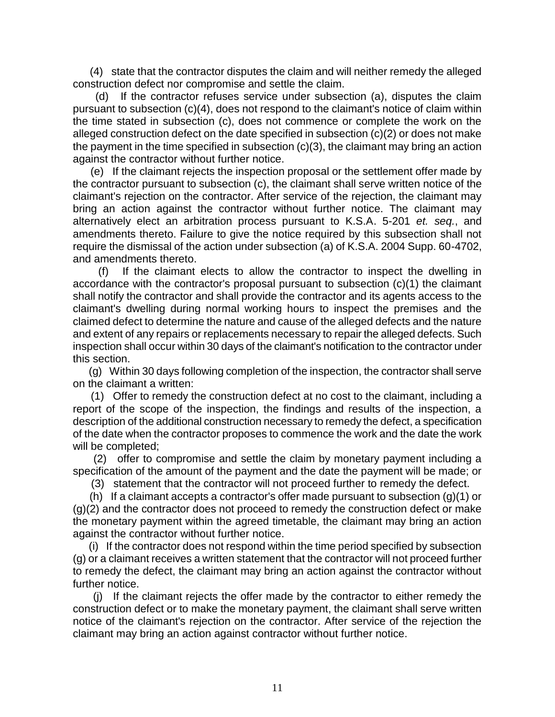(4) state that the contractor disputes the claim and will neither remedy the alleged construction defect nor compromise and settle the claim.

(d) If the contractor refuses service under subsection (a), disputes the claim pursuant to subsection (c)(4), does not respond to the claimant's notice of claim within the time stated in subsection (c), does not commence or complete the work on the alleged construction defect on the date specified in subsection (c)(2) or does not make the payment in the time specified in subsection (c)(3), the claimant may bring an action against the contractor without further notice.

(e) If the claimant rejects the inspection proposal or the settlement offer made by the contractor pursuant to subsection (c), the claimant shall serve written notice of the claimant's rejection on the contractor. After service of the rejection, the claimant may bring an action against the contractor without further notice. The claimant may alternatively elect an arbitration process pursuant to K.S.A. 5-201 *et. seq.*, and amendments thereto. Failure to give the notice required by this subsection shall not require the dismissal of the action under subsection (a) of K.S.A. 2004 Supp. 60-4702, and amendments thereto.

(f) If the claimant elects to allow the contractor to inspect the dwelling in accordance with the contractor's proposal pursuant to subsection (c)(1) the claimant shall notify the contractor and shall provide the contractor and its agents access to the claimant's dwelling during normal working hours to inspect the premises and the claimed defect to determine the nature and cause of the alleged defects and the nature and extent of any repairs or replacements necessary to repair the alleged defects. Such inspection shall occur within 30 days of the claimant's notification to the contractor under this section.

(g) Within 30 days following completion of the inspection, the contractor shall serve on the claimant a written:

(1) Offer to remedy the construction defect at no cost to the claimant, including a report of the scope of the inspection, the findings and results of the inspection, a description of the additional construction necessary to remedy the defect, a specification of the date when the contractor proposes to commence the work and the date the work will be completed;

(2) offer to compromise and settle the claim by monetary payment including a specification of the amount of the payment and the date the payment will be made; or

(3) statement that the contractor will not proceed further to remedy the defect.

(h) If a claimant accepts a contractor's offer made pursuant to subsection  $(g)(1)$  or (g)(2) and the contractor does not proceed to remedy the construction defect or make the monetary payment within the agreed timetable, the claimant may bring an action against the contractor without further notice.

(i) If the contractor does not respond within the time period specified by subsection (g) or a claimant receives a written statement that the contractor will not proceed further to remedy the defect, the claimant may bring an action against the contractor without further notice.

(j) If the claimant rejects the offer made by the contractor to either remedy the construction defect or to make the monetary payment, the claimant shall serve written notice of the claimant's rejection on the contractor. After service of the rejection the claimant may bring an action against contractor without further notice.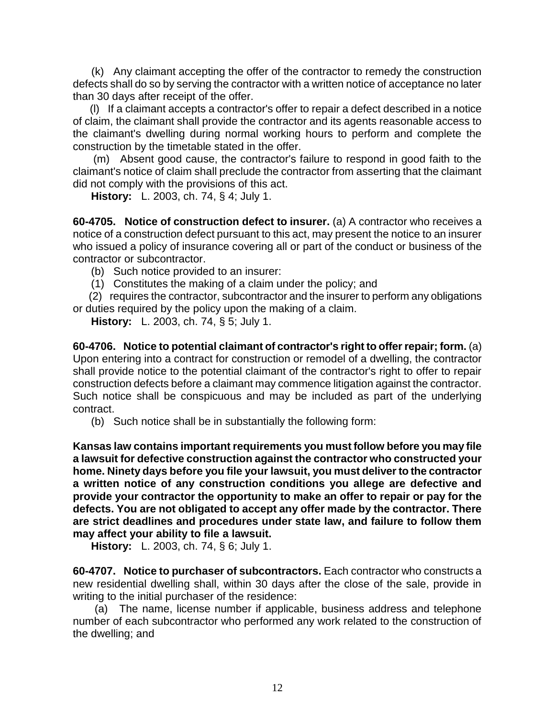(k) Any claimant accepting the offer of the contractor to remedy the construction defects shall do so by serving the contractor with a written notice of acceptance no later than 30 days after receipt of the offer.

(l) If a claimant accepts a contractor's offer to repair a defect described in a notice of claim, the claimant shall provide the contractor and its agents reasonable access to the claimant's dwelling during normal working hours to perform and complete the construction by the timetable stated in the offer.

(m) Absent good cause, the contractor's failure to respond in good faith to the claimant's notice of claim shall preclude the contractor from asserting that the claimant did not comply with the provisions of this act.

**History:** L. 2003, ch. 74, § 4; July 1.

**60-4705. Notice of construction defect to insurer.** (a) A contractor who receives a notice of a construction defect pursuant to this act, may present the notice to an insurer who issued a policy of insurance covering all or part of the conduct or business of the contractor or subcontractor.

(b) Such notice provided to an insurer:

(1) Constitutes the making of a claim under the policy; and

(2) requires the contractor, subcontractor and the insurer to perform any obligations or duties required by the policy upon the making of a claim.

**History:** L. 2003, ch. 74, § 5; July 1.

**60-4706. Notice to potential claimant of contractor's right to offer repair; form.** (a) Upon entering into a contract for construction or remodel of a dwelling, the contractor shall provide notice to the potential claimant of the contractor's right to offer to repair construction defects before a claimant may commence litigation against the contractor. Such notice shall be conspicuous and may be included as part of the underlying contract.

(b) Such notice shall be in substantially the following form:

**Kansas law contains important requirements you must follow before you may file a lawsuit for defective construction against the contractor who constructed your home. Ninety days before you file your lawsuit, you must deliver to the contractor a written notice of any construction conditions you allege are defective and provide your contractor the opportunity to make an offer to repair or pay for the defects. You are not obligated to accept any offer made by the contractor. There are strict deadlines and procedures under state law, and failure to follow them may affect your ability to file a lawsuit.** 

**History:** L. 2003, ch. 74, § 6; July 1.

**60-4707. Notice to purchaser of subcontractors.** Each contractor who constructs a new residential dwelling shall, within 30 days after the close of the sale, provide in writing to the initial purchaser of the residence:

(a) The name, license number if applicable, business address and telephone number of each subcontractor who performed any work related to the construction of the dwelling; and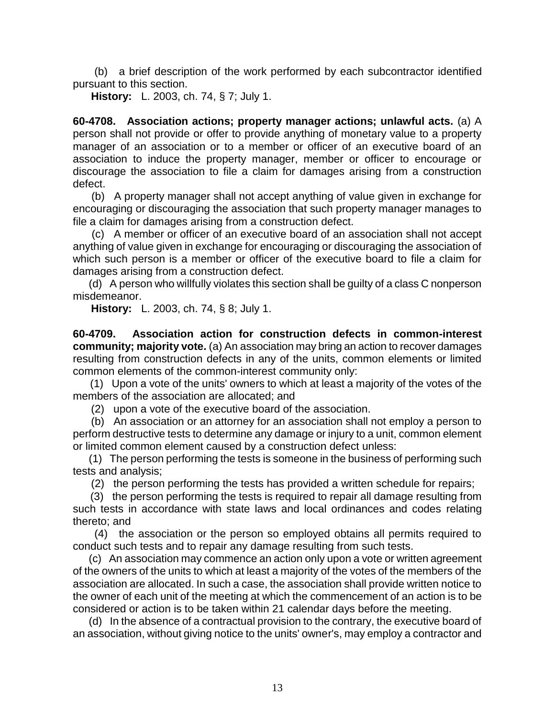(b) a brief description of the work performed by each subcontractor identified pursuant to this section.

**History:** L. 2003, ch. 74, § 7; July 1.

**60-4708. Association actions; property manager actions; unlawful acts.** (a) A person shall not provide or offer to provide anything of monetary value to a property manager of an association or to a member or officer of an executive board of an association to induce the property manager, member or officer to encourage or discourage the association to file a claim for damages arising from a construction defect.

(b) A property manager shall not accept anything of value given in exchange for encouraging or discouraging the association that such property manager manages to file a claim for damages arising from a construction defect.

(c) A member or officer of an executive board of an association shall not accept anything of value given in exchange for encouraging or discouraging the association of which such person is a member or officer of the executive board to file a claim for damages arising from a construction defect.

(d) A person who willfully violates this section shall be guilty of a class C nonperson misdemeanor.

**History:** L. 2003, ch. 74, § 8; July 1.

**60-4709. Association action for construction defects in common-interest community; majority vote.** (a) An association may bring an action to recover damages resulting from construction defects in any of the units, common elements or limited common elements of the common-interest community only:

(1) Upon a vote of the units' owners to which at least a majority of the votes of the members of the association are allocated; and

(2) upon a vote of the executive board of the association.

(b) An association or an attorney for an association shall not employ a person to perform destructive tests to determine any damage or injury to a unit, common element or limited common element caused by a construction defect unless:

(1) The person performing the tests is someone in the business of performing such tests and analysis;

(2) the person performing the tests has provided a written schedule for repairs;

(3) the person performing the tests is required to repair all damage resulting from such tests in accordance with state laws and local ordinances and codes relating thereto; and

(4) the association or the person so employed obtains all permits required to conduct such tests and to repair any damage resulting from such tests.

(c) An association may commence an action only upon a vote or written agreement of the owners of the units to which at least a majority of the votes of the members of the association are allocated. In such a case, the association shall provide written notice to the owner of each unit of the meeting at which the commencement of an action is to be considered or action is to be taken within 21 calendar days before the meeting.

(d) In the absence of a contractual provision to the contrary, the executive board of an association, without giving notice to the units' owner's, may employ a contractor and